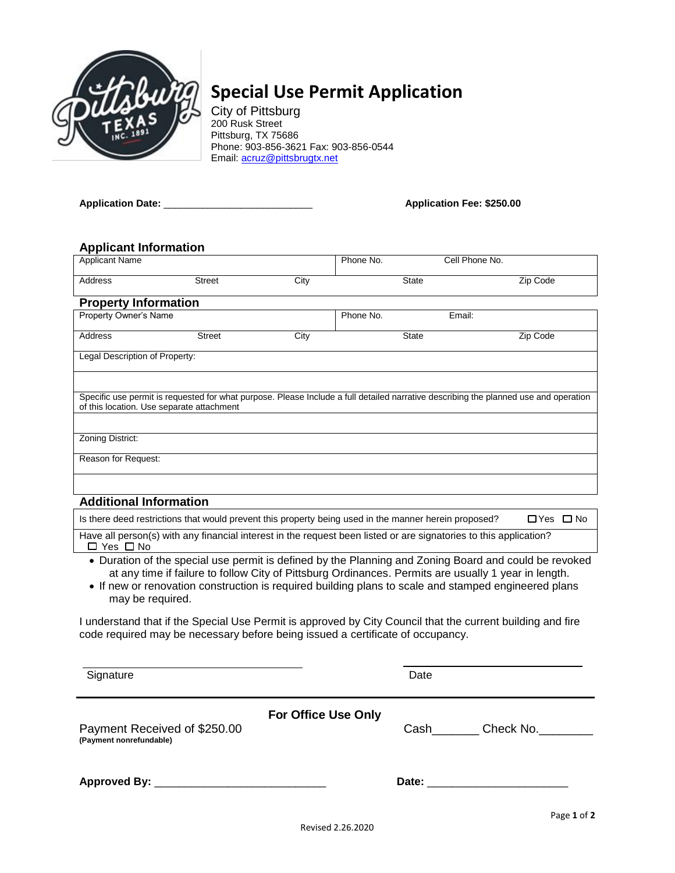

# **Special Use Permit Application**

City of Pittsburg 200 Rusk Street Pittsburg, TX 75686 Phone: 903-856-3621 Fax: 903-856-0544 Email: [acruz@pittsbrugtx.net](mailto:acruz@pittsbrugtx.net)

**Application Date:** \_\_\_\_\_\_\_\_\_\_\_\_\_\_\_\_\_\_\_\_\_\_\_\_\_\_\_ **Application Fee: \$250.00**

### **Applicant Information**

| <b>Applicant Name</b>                                                                                                                                                                                         |               |      | Phone No. | Cell Phone No. |          |  |  |
|---------------------------------------------------------------------------------------------------------------------------------------------------------------------------------------------------------------|---------------|------|-----------|----------------|----------|--|--|
| <b>Address</b>                                                                                                                                                                                                | <b>Street</b> | City |           | <b>State</b>   | Zip Code |  |  |
| <b>Property Information</b>                                                                                                                                                                                   |               |      |           |                |          |  |  |
| Property Owner's Name                                                                                                                                                                                         |               |      | Phone No. | Email:         |          |  |  |
| <b>Address</b>                                                                                                                                                                                                | <b>Street</b> | City |           | <b>State</b>   | Zip Code |  |  |
| Legal Description of Property:                                                                                                                                                                                |               |      |           |                |          |  |  |
|                                                                                                                                                                                                               |               |      |           |                |          |  |  |
| Specific use permit is requested for what purpose. Please Include a full detailed narrative describing the planned use and operation<br>of this location. Use separate attachment                             |               |      |           |                |          |  |  |
|                                                                                                                                                                                                               |               |      |           |                |          |  |  |
| Zoning District:                                                                                                                                                                                              |               |      |           |                |          |  |  |
| Reason for Request:                                                                                                                                                                                           |               |      |           |                |          |  |  |
|                                                                                                                                                                                                               |               |      |           |                |          |  |  |
| <b>Additional Information</b>                                                                                                                                                                                 |               |      |           |                |          |  |  |
|                                                                                                                                                                                                               |               |      |           |                |          |  |  |
| Is there deed restrictions that would prevent this property being used in the manner herein proposed?<br>$\Box$ Yes $\Box$ No                                                                                 |               |      |           |                |          |  |  |
| Have all person(s) with any financial interest in the request been listed or are signatories to this application?<br>$\Box$ Yes $\Box$ No                                                                     |               |      |           |                |          |  |  |
| • Duration of the special use permit is defined by the Planning and Zoning Board and could be revoked<br>at any time if failure to follow City of Pittsburg Ordinances. Permits are usually 1 year in length. |               |      |           |                |          |  |  |

• If new or renovation construction is required building plans to scale and stamped engineered plans may be required.

I understand that if the Special Use Permit is approved by City Council that the current building and fire code required may be necessary before being issued a certificate of occupancy.

| Signature                                               |                            | Date  |           |
|---------------------------------------------------------|----------------------------|-------|-----------|
| Payment Received of \$250.00<br>(Payment nonrefundable) | <b>For Office Use Only</b> | Cash  | Check No. |
|                                                         |                            | Date: |           |